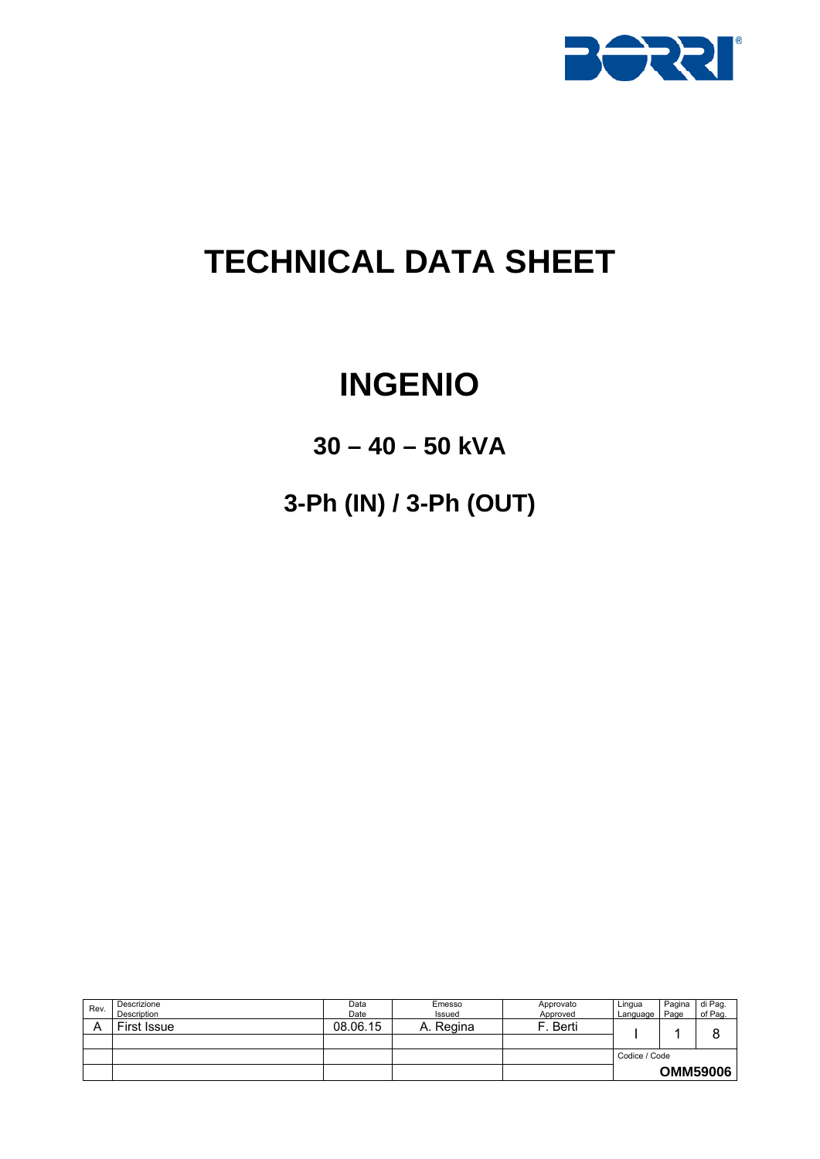

# **TECHNICAL DATA SHEET**

# **INGENIO**

## **30 – 40 – 50 kVA**

**3-Ph (IN) / 3-Ph (OUT)** 

| Rev. | Descrizione<br>Description | Data<br>Date | Emesso<br>Issued | Approvato<br>Approved | Lingua<br>Language | Pagina<br>Page | di Pag.<br>of Pag. |
|------|----------------------------|--------------|------------------|-----------------------|--------------------|----------------|--------------------|
|      | First Issue                | 08.06.15     | . Regina<br>A.   | Berti                 |                    |                | O                  |
|      |                            |              |                  |                       |                    |                |                    |
|      |                            |              |                  |                       | Codice / Code      |                |                    |
|      |                            |              |                  |                       |                    |                | <b>OMM59006</b>    |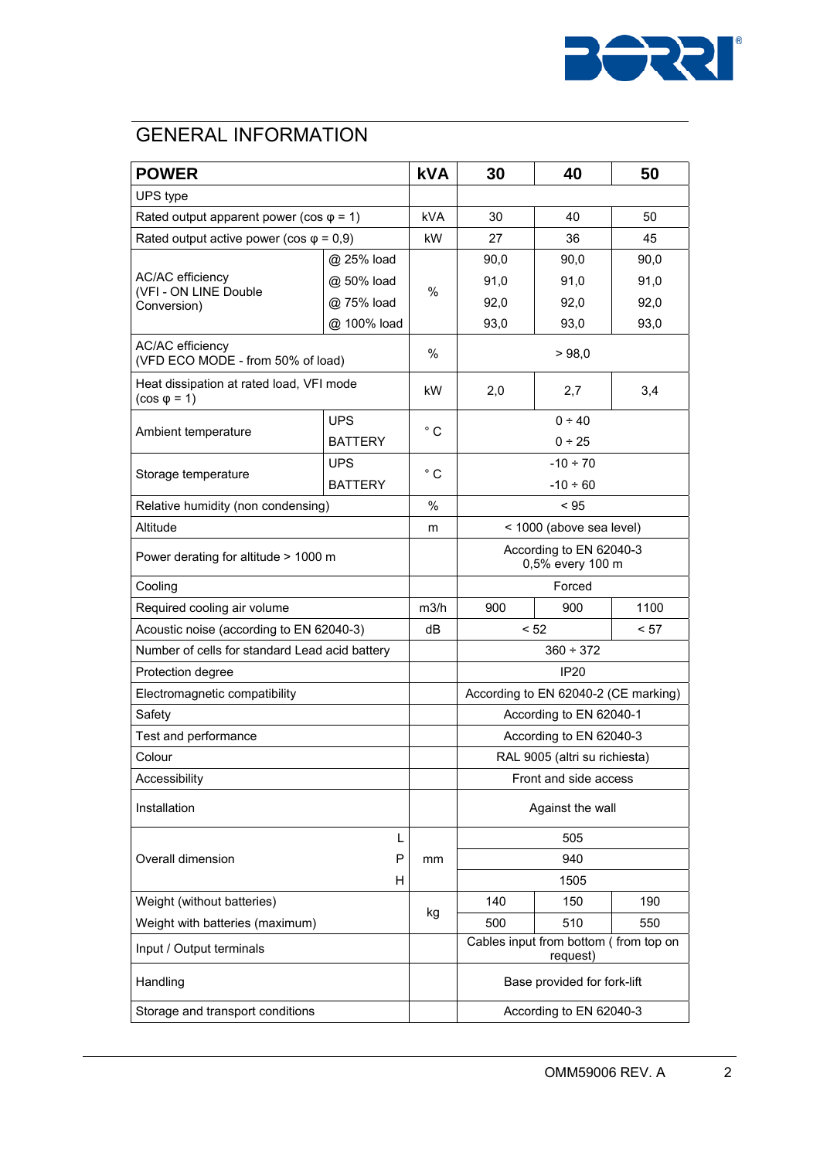

## **GENERAL INFORMATION**

| <b>POWER</b>                                                    |                | <b>kVA</b>   | 30                                                | 40   | 50   |  |
|-----------------------------------------------------------------|----------------|--------------|---------------------------------------------------|------|------|--|
| UPS type                                                        |                |              |                                                   |      |      |  |
| Rated output apparent power (cos $\varphi$ = 1)                 |                | <b>kVA</b>   | 30                                                | 40   | 50   |  |
| Rated output active power (cos $\varphi$ = 0,9)                 |                | kW           | 27                                                | 36   | 45   |  |
|                                                                 | @ 25% load     |              | 90,0                                              | 90,0 | 90,0 |  |
| AC/AC efficiency                                                | @ 50% load     | $\%$         | 91,0                                              | 91,0 | 91,0 |  |
| (VFI - ON LINE Double<br>Conversion)                            | @ 75% load     |              | 92,0                                              | 92,0 | 92.0 |  |
|                                                                 | @ 100% load    |              | 93,0                                              | 93,0 | 93,0 |  |
| AC/AC efficiency<br>(VFD ECO MODE - from 50% of load)           |                | %            | >98,0                                             |      |      |  |
| Heat dissipation at rated load, VFI mode<br>$(cos \varphi = 1)$ |                | kW           | 2,0<br>2,7                                        |      | 3,4  |  |
|                                                                 | <b>UPS</b>     |              | $0 + 40$                                          |      |      |  |
| Ambient temperature                                             | <b>BATTERY</b> | $^{\circ}$ C | $0 - 25$                                          |      |      |  |
|                                                                 | <b>UPS</b>     |              | $-10 \div 70$                                     |      |      |  |
| Storage temperature                                             | <b>BATTERY</b> | $^{\circ}$ C | $-10 \div 60$                                     |      |      |  |
| Relative humidity (non condensing)                              |                | %            | < 95                                              |      |      |  |
| Altitude                                                        |                | m            | < 1000 (above sea level)                          |      |      |  |
| Power derating for altitude > 1000 m                            |                |              | According to EN 62040-3<br>0,5% every 100 m       |      |      |  |
| Cooling                                                         |                |              | Forced                                            |      |      |  |
| Required cooling air volume                                     |                | m3/h         | 900                                               | 900  | 1100 |  |
| Acoustic noise (according to EN 62040-3)                        |                | dB           | < 52<br>< 57                                      |      |      |  |
| Number of cells for standard Lead acid battery                  |                |              | $360 \div 372$                                    |      |      |  |
| Protection degree                                               |                |              | <b>IP20</b>                                       |      |      |  |
| Electromagnetic compatibility                                   |                |              | According to EN 62040-2 (CE marking)              |      |      |  |
| Safety                                                          |                |              | According to EN 62040-1                           |      |      |  |
| Test and performance                                            |                |              | According to EN 62040-3                           |      |      |  |
| Colour                                                          |                |              | RAL 9005 (altri su richiesta)                     |      |      |  |
| Accessibility                                                   |                |              | Front and side access                             |      |      |  |
| Installation                                                    |                |              | Against the wall                                  |      |      |  |
|                                                                 | L              |              | 505                                               |      |      |  |
| Overall dimension                                               | P              | mm           | 940                                               |      |      |  |
| н                                                               |                |              | 1505                                              |      |      |  |
| Weight (without batteries)                                      |                |              | 140                                               | 150  | 190  |  |
| Weight with batteries (maximum)                                 |                | kg           | 500                                               | 510  | 550  |  |
| Input / Output terminals                                        |                |              | Cables input from bottom (from top on<br>request) |      |      |  |
| Handling                                                        |                |              | Base provided for fork-lift                       |      |      |  |
| Storage and transport conditions                                |                |              | According to EN 62040-3                           |      |      |  |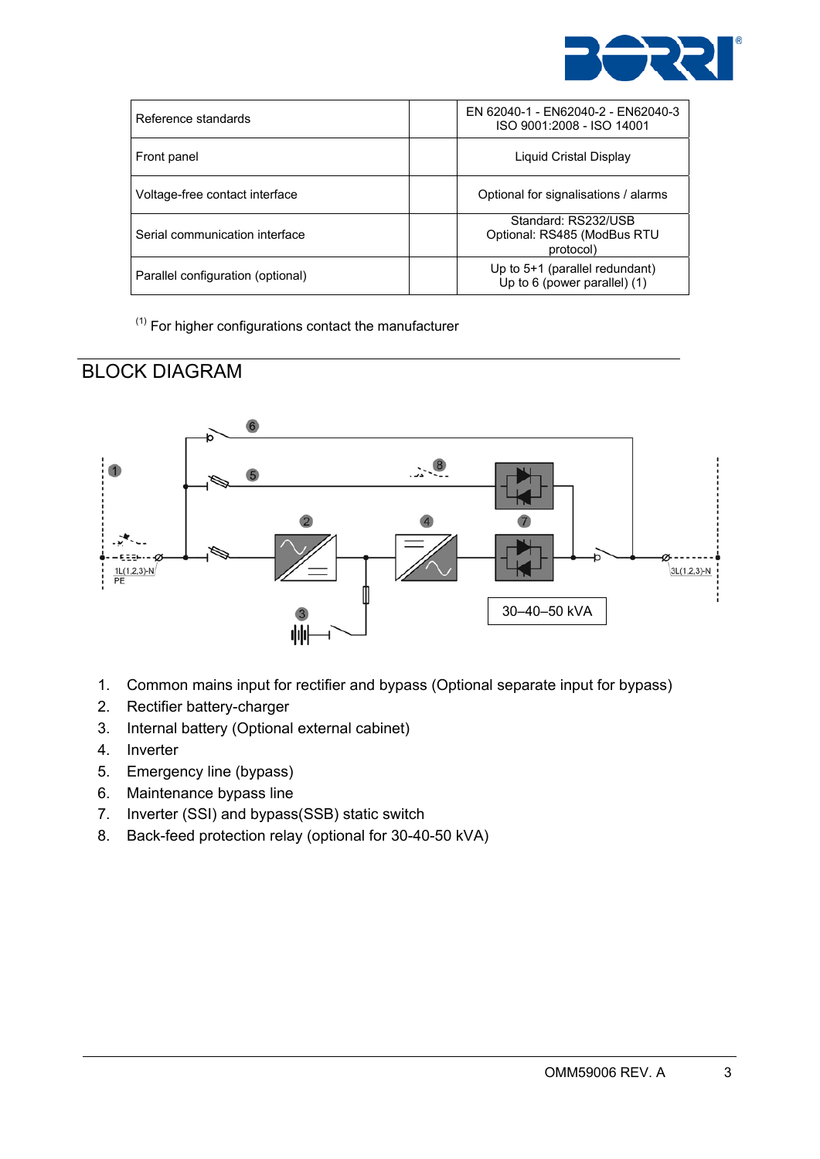

| Reference standards               | EN 62040-1 - EN62040-2 - EN62040-3<br>ISO 9001:2008 - ISO 14001      |
|-----------------------------------|----------------------------------------------------------------------|
| Front panel                       | Liquid Cristal Display                                               |
| Voltage-free contact interface    | Optional for signalisations / alarms                                 |
| Serial communication interface    | Standard: RS232/USB<br>Optional: RS485 (ModBus RTU<br>protocol)      |
| Parallel configuration (optional) | Up to $5+1$ (parallel redundant)<br>Up to $6$ (power parallel) $(1)$ |

 $(1)$  For higher configurations contact the manufacturer

#### BLOCK DIAGRAM



- 1. Common mains input for rectifier and bypass (Optional separate input for bypass)
- 2. Rectifier battery-charger
- 3. Internal battery (Optional external cabinet)
- 4. Inverter
- 5. Emergency line (bypass)
- 6. Maintenance bypass line
- 7. Inverter (SSI) and bypass(SSB) static switch
- 8. Back-feed protection relay (optional for 30-40-50 kVA)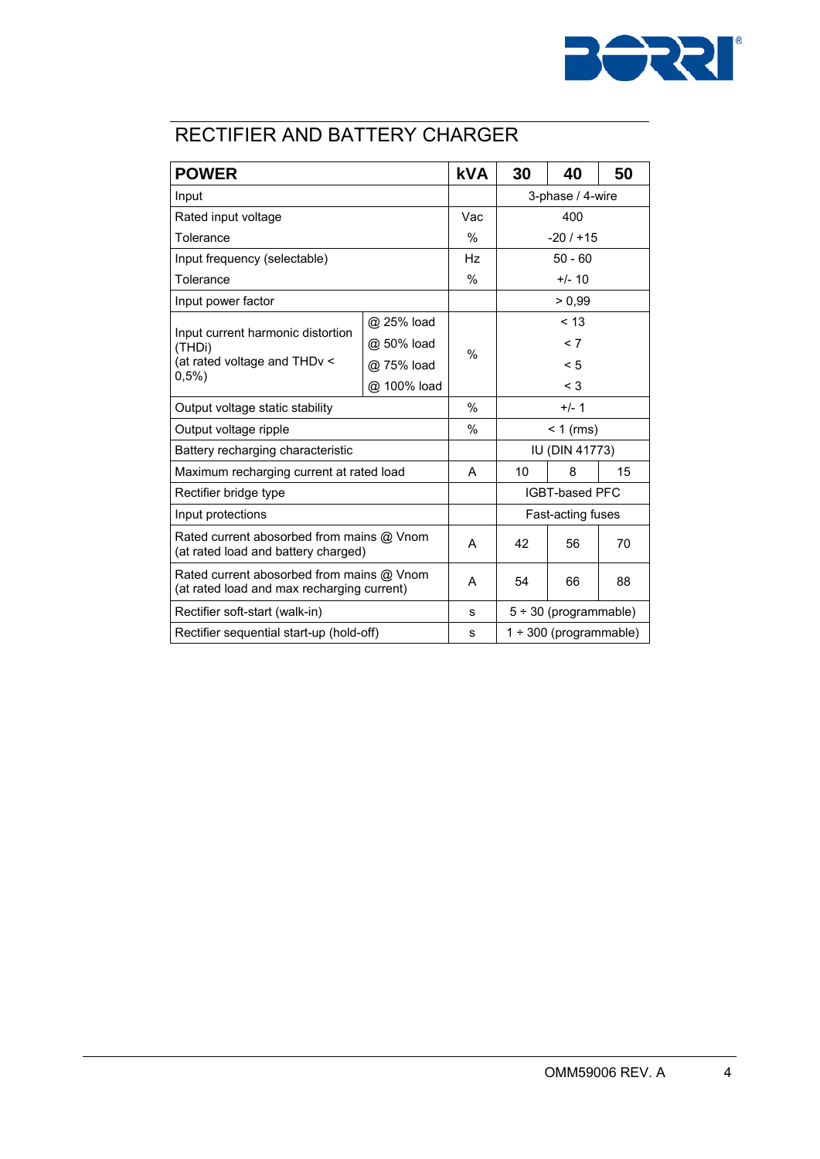

### RECTIFIER AND BATTERY CHARGER

| <b>POWER</b>                                                                            |             | <b>kVA</b>    | 30                          | 40     | 50 |  |
|-----------------------------------------------------------------------------------------|-------------|---------------|-----------------------------|--------|----|--|
| Input                                                                                   |             |               | 3-phase / 4-wire            |        |    |  |
| Rated input voltage                                                                     |             | Vac           | 400                         |        |    |  |
| Tolerance                                                                               |             | $\%$          | $-20/115$                   |        |    |  |
| Input frequency (selectable)                                                            |             | Hz            | $50 - 60$                   |        |    |  |
| Tolerance                                                                               |             | $\%$          | $+/- 10$                    |        |    |  |
| Input power factor                                                                      |             |               |                             | > 0.99 |    |  |
|                                                                                         | @ 25% load  |               | < 13                        |        |    |  |
| Input current harmonic distortion<br>(THDi)                                             | @ 50% load  |               | < 7                         |        |    |  |
| (at rated voltage and THDv <                                                            | @ 75% load  | $\%$          | $\leq 5$                    |        |    |  |
| 0,5%                                                                                    | @ 100% load |               | $<$ 3                       |        |    |  |
| Output voltage static stability                                                         |             | $\frac{0}{0}$ | $+/- 1$                     |        |    |  |
| Output voltage ripple                                                                   |             | $\%$          | $< 1$ (rms)                 |        |    |  |
| Battery recharging characteristic                                                       |             |               | IU (DIN 41773)              |        |    |  |
| Maximum recharging current at rated load                                                |             | A             | 10                          | 8      | 15 |  |
| Rectifier bridge type                                                                   |             |               | <b>IGBT-based PFC</b>       |        |    |  |
| Input protections                                                                       |             |               | Fast-acting fuses           |        |    |  |
| Rated current abosorbed from mains @ Vnom<br>(at rated load and battery charged)        |             | А             | 42                          | 56     | 70 |  |
| Rated current abosorbed from mains @ Vnom<br>(at rated load and max recharging current) |             | A             | 54                          | 66     | 88 |  |
| Rectifier soft-start (walk-in)                                                          |             | s             | $5 ÷ 30$ (programmable)     |        |    |  |
| Rectifier sequential start-up (hold-off)                                                |             | s             | $1 \div 300$ (programmable) |        |    |  |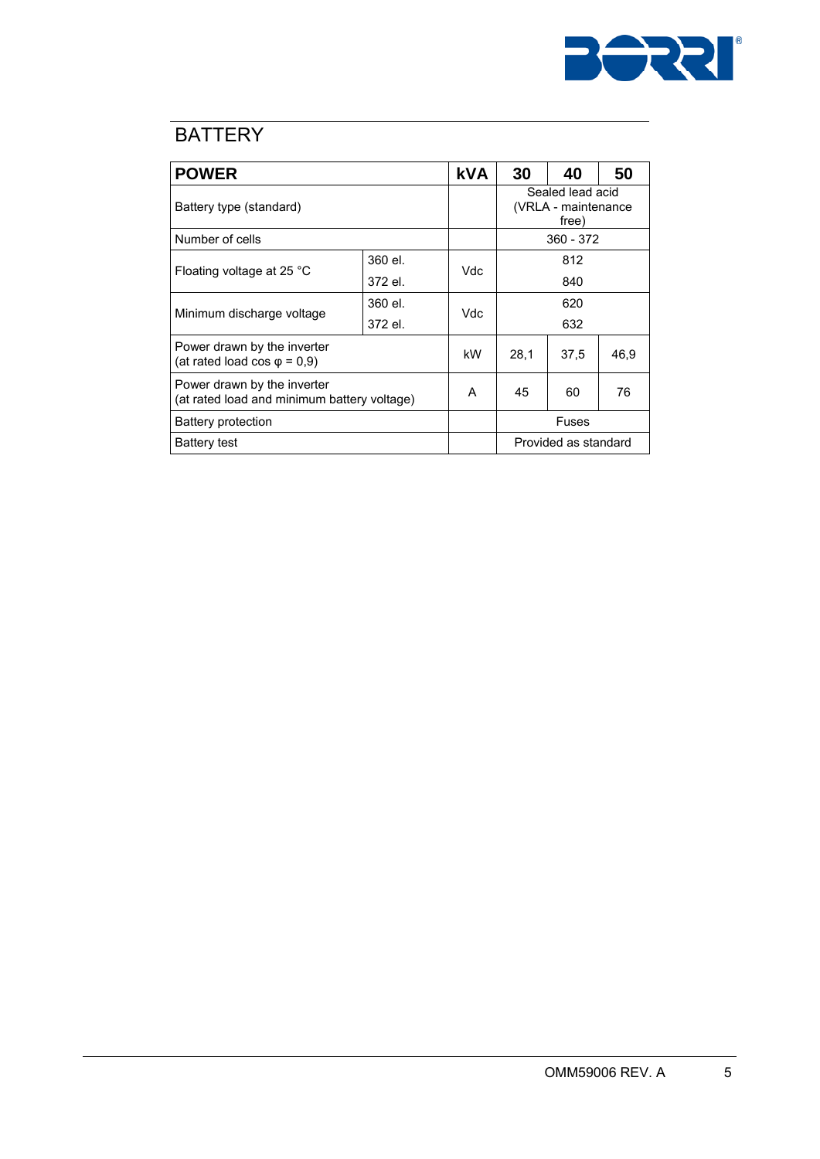

## **BATTERY**

| <b>POWER</b>                                                               |         | <b>kVA</b> | 30                                               | 40   | 50   |  |
|----------------------------------------------------------------------------|---------|------------|--------------------------------------------------|------|------|--|
| Battery type (standard)                                                    |         |            | Sealed lead acid<br>(VRLA - maintenance<br>free) |      |      |  |
| Number of cells                                                            |         |            | 360 - 372                                        |      |      |  |
|                                                                            | 360 el. | Vdc        | 812                                              |      |      |  |
| Floating voltage at 25 °C                                                  | 372 el. |            | 840                                              |      |      |  |
|                                                                            | 360 el. | Vdc        | 620                                              |      |      |  |
| Minimum discharge voltage                                                  | 372 el. |            | 632                                              |      |      |  |
| Power drawn by the inverter<br>(at rated load cos $\varphi = 0.9$ )        |         | kW         | 28,1                                             | 37,5 | 46,9 |  |
| Power drawn by the inverter<br>(at rated load and minimum battery voltage) |         | A          | 45                                               | 60   | 76   |  |
| <b>Battery protection</b>                                                  |         |            | Fuses                                            |      |      |  |
| Battery test                                                               |         |            | Provided as standard                             |      |      |  |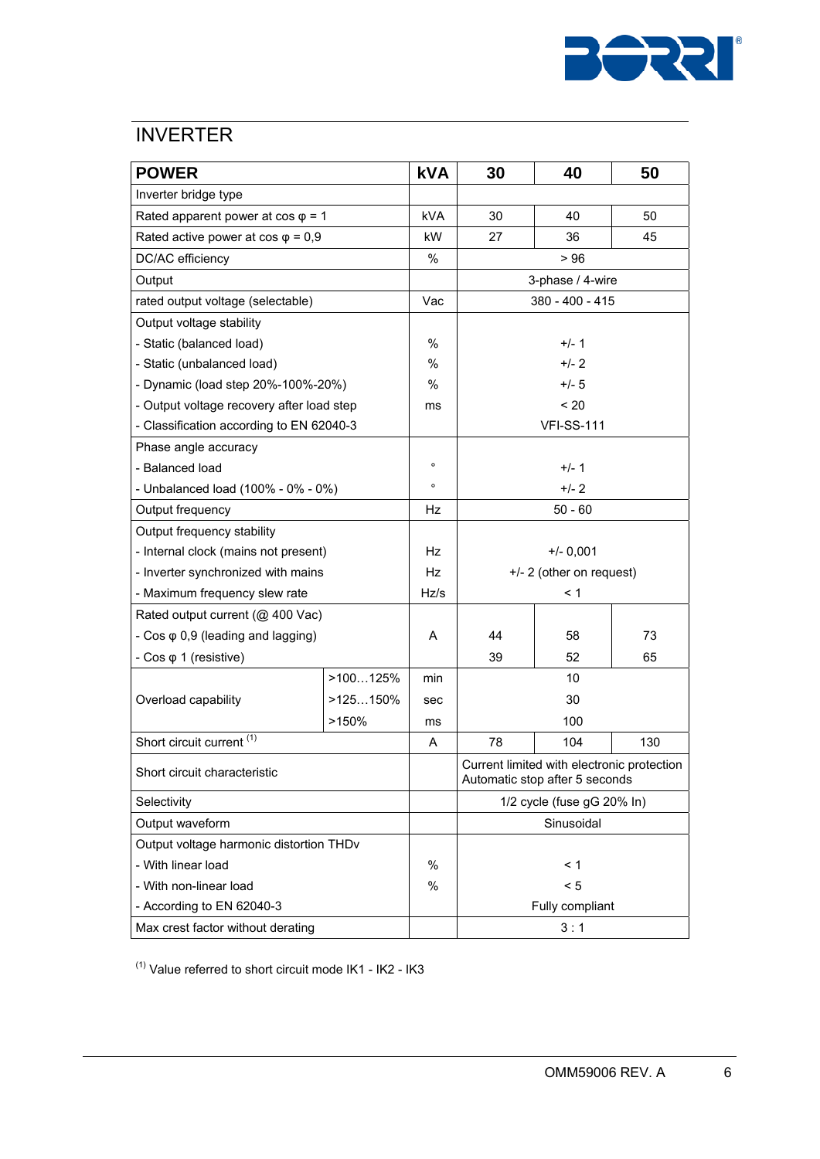

#### **INVERTER**

| <b>POWER</b>                              |             | <b>kVA</b> | 30                                                                           | 40                       | 50  |  |
|-------------------------------------------|-------------|------------|------------------------------------------------------------------------------|--------------------------|-----|--|
| Inverter bridge type                      |             |            |                                                                              |                          |     |  |
| Rated apparent power at $cos \varphi = 1$ |             |            | 30                                                                           | 40                       | 50  |  |
| Rated active power at $cos \varphi = 0.9$ |             | kW         | 27                                                                           | 36                       | 45  |  |
| DC/AC efficiency                          |             | %          |                                                                              | > 96                     |     |  |
| Output                                    |             |            | 3-phase / 4-wire                                                             |                          |     |  |
| rated output voltage (selectable)         |             | Vac        | 380 - 400 - 415                                                              |                          |     |  |
| Output voltage stability                  |             |            |                                                                              |                          |     |  |
| - Static (balanced load)                  |             | %          |                                                                              | $+/- 1$                  |     |  |
| - Static (unbalanced load)                |             | %          | $+/- 2$                                                                      |                          |     |  |
| - Dynamic (load step 20%-100%-20%)        |             | %          | $+/- 5$                                                                      |                          |     |  |
| - Output voltage recovery after load step |             | ms         | < 20                                                                         |                          |     |  |
| - Classification according to EN 62040-3  |             |            |                                                                              | <b>VFI-SS-111</b>        |     |  |
| Phase angle accuracy                      |             |            |                                                                              |                          |     |  |
| - Balanced load                           |             | $\circ$    | $+/- 1$                                                                      |                          |     |  |
| - Unbalanced load (100% - 0% - 0%)        |             | $\circ$    | $+/- 2$                                                                      |                          |     |  |
| Output frequency                          |             | Hz         | $50 - 60$                                                                    |                          |     |  |
| Output frequency stability                |             |            |                                                                              |                          |     |  |
| - Internal clock (mains not present)      |             | Hz         | $+/- 0,001$                                                                  |                          |     |  |
| - Inverter synchronized with mains        |             | Hz         |                                                                              | +/- 2 (other on request) |     |  |
| - Maximum frequency slew rate             |             | Hz/s       | < 1                                                                          |                          |     |  |
| Rated output current (@ 400 Vac)          |             |            |                                                                              |                          |     |  |
| - $Cos \varphi$ 0,9 (leading and lagging) |             | Α          | 44                                                                           | 58                       | 73  |  |
| - $Cos \varphi$ 1 (resistive)             |             |            | 39                                                                           | 52                       | 65  |  |
|                                           | >100125%    | min        | 10                                                                           |                          |     |  |
| Overload capability                       | $>125150\%$ | sec        | 30                                                                           |                          |     |  |
|                                           | >150%       | ms         | 100                                                                          |                          |     |  |
| Short circuit current <sup>(1)</sup>      |             | A          | 78                                                                           | 104                      | 130 |  |
| Short circuit characteristic              |             |            | Current limited with electronic protection<br>Automatic stop after 5 seconds |                          |     |  |
| Selectivity                               |             |            | 1/2 cycle (fuse gG 20% In)                                                   |                          |     |  |
| Output waveform                           |             |            | Sinusoidal                                                                   |                          |     |  |
| Output voltage harmonic distortion THDv   |             |            |                                                                              |                          |     |  |
| - With linear load                        |             | $\%$       | < 1                                                                          |                          |     |  |
| - With non-linear load                    |             | $\%$       | < 5                                                                          |                          |     |  |
| - According to EN 62040-3                 |             |            | Fully compliant                                                              |                          |     |  |
| Max crest factor without derating         |             |            |                                                                              | 3:1                      |     |  |

 $(1)$  Value referred to short circuit mode IK1 - IK2 - IK3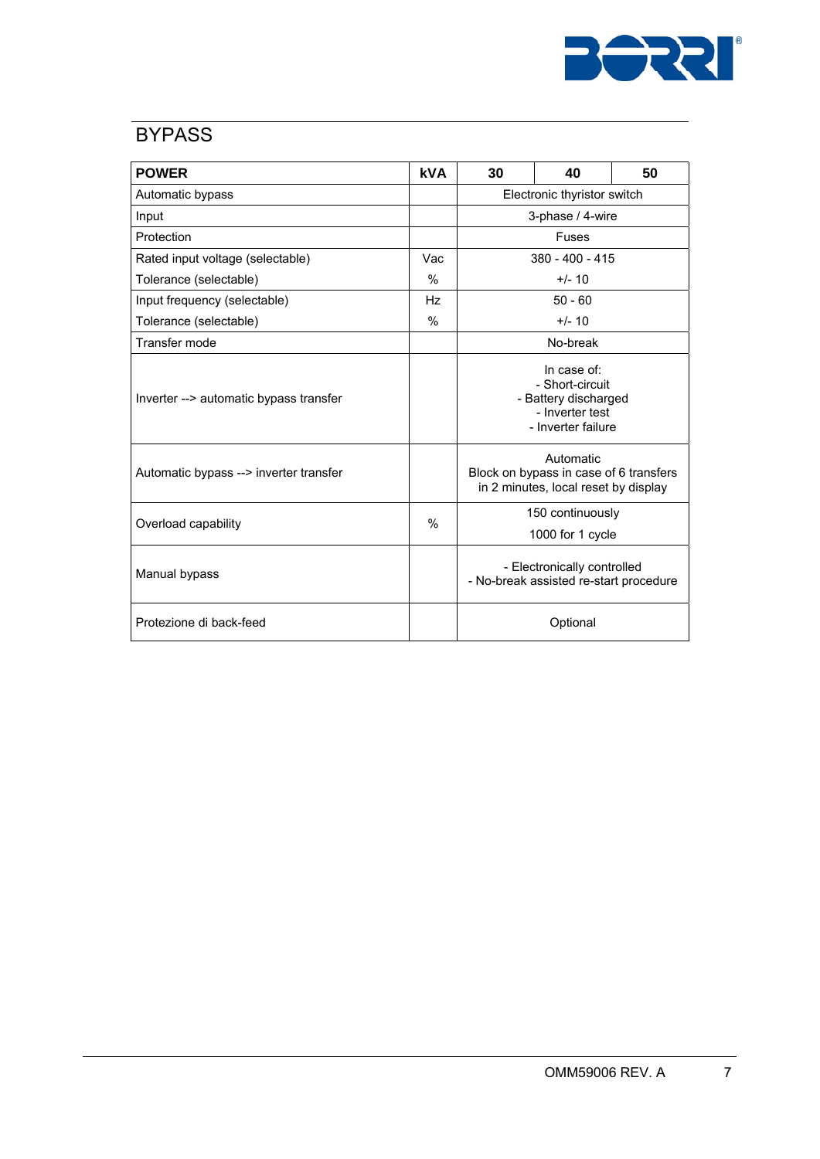

#### **BYPASS**

| <b>POWER</b>                           | <b>kVA</b>    | 30                                                                                              | 40        | 50 |  |
|----------------------------------------|---------------|-------------------------------------------------------------------------------------------------|-----------|----|--|
| Automatic bypass                       |               | Electronic thyristor switch                                                                     |           |    |  |
| Input                                  |               | 3-phase / 4-wire                                                                                |           |    |  |
| Protection                             |               | Fuses                                                                                           |           |    |  |
| Rated input voltage (selectable)       | Vac           | 380 - 400 - 415                                                                                 |           |    |  |
| Tolerance (selectable)                 | $\%$          |                                                                                                 | $+/- 10$  |    |  |
| Input frequency (selectable)           | Hz            |                                                                                                 | $50 - 60$ |    |  |
| Tolerance (selectable)                 | $\%$          |                                                                                                 | $+/- 10$  |    |  |
| Transfer mode                          |               | No-break                                                                                        |           |    |  |
| Inverter --> automatic bypass transfer |               | In case of:<br>- Short-circuit<br>- Battery discharged<br>- Inverter test<br>- Inverter failure |           |    |  |
| Automatic bypass --> inverter transfer |               | Automatic<br>Block on bypass in case of 6 transfers<br>in 2 minutes, local reset by display     |           |    |  |
| Overload capability                    | $\frac{0}{0}$ | 150 continuously<br>1000 for 1 cycle                                                            |           |    |  |
| Manual bypass                          |               | - Electronically controlled<br>- No-break assisted re-start procedure                           |           |    |  |
| Protezione di back-feed                |               | Optional                                                                                        |           |    |  |